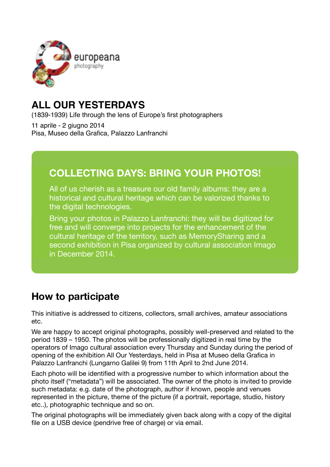

## **ALL OUR YESTERDAYS**

(1839-1939) Life through the lens of Europe's first photographers

11 aprile - 2 giugno 2014 Pisa, Museo della Grafica, Palazzo Lanfranchi

## **COLLECTING DAYS: BRING YOUR PHOTOS!**

All of us cherish as a treasure our old family albums: they are a historical and cultural heritage which can be valorized thanks to the digital technologies.

Bring your photos in Palazzo Lanfranchi: they will be digitized for free and will converge into projects for the enhancement of the cultural heritage of the territory, such as MemorySharing and a second exhibition in Pisa organized by cultural association Imago in December 2014.

## **How to participate**

This initiative is addressed to citizens, collectors, small archives, amateur associations etc.

We are happy to accept original photographs, possibly well-preserved and related to the period 1839 – 1950. The photos will be professionally digitized in real time by the operators of Imago cultural association every Thursday and Sunday during the period of opening of the exhibition All Our Yesterdays, held in Pisa at Museo della Grafica in Palazzo Lanfranchi (Lungarno Galilei 9) from 11th April to 2nd June 2014.

Each photo will be identified with a progressive number to which information about the photo itself ("metadata") will be associated. The owner of the photo is invited to provide such metadata: e.g. date of the photograph, author if known, people and venues represented in the picture, theme of the picture (if a portrait, reportage, studio, history etc..), photographic technique and so on.

The original photographs will be immediately given back along with a copy of the digital file on a USB device (pendrive free of charge) or via email.